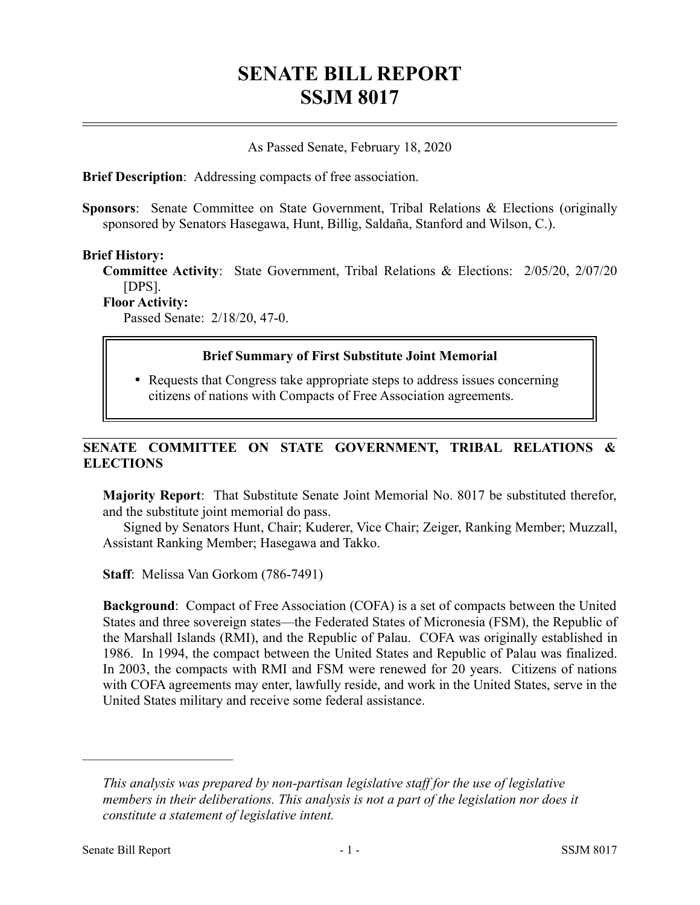# **SENATE BILL REPORT SSJM 8017**

### As Passed Senate, February 18, 2020

**Brief Description**: Addressing compacts of free association.

**Sponsors**: Senate Committee on State Government, Tribal Relations & Elections (originally sponsored by Senators Hasegawa, Hunt, Billig, Saldaña, Stanford and Wilson, C.).

#### **Brief History:**

**Committee Activity**: State Government, Tribal Relations & Elections: 2/05/20, 2/07/20 [DPS].

**Floor Activity:**

Passed Senate: 2/18/20, 47-0.

#### **Brief Summary of First Substitute Joint Memorial**

• Requests that Congress take appropriate steps to address issues concerning citizens of nations with Compacts of Free Association agreements.

## **SENATE COMMITTEE ON STATE GOVERNMENT, TRIBAL RELATIONS & ELECTIONS**

**Majority Report**: That Substitute Senate Joint Memorial No. 8017 be substituted therefor, and the substitute joint memorial do pass.

Signed by Senators Hunt, Chair; Kuderer, Vice Chair; Zeiger, Ranking Member; Muzzall, Assistant Ranking Member; Hasegawa and Takko.

**Staff**: Melissa Van Gorkom (786-7491)

**Background**: Compact of Free Association (COFA) is a set of compacts between the United States and three sovereign states—the Federated States of Micronesia (FSM), the Republic of the Marshall Islands (RMI), and the Republic of Palau. COFA was originally established in 1986. In 1994, the compact between the United States and Republic of Palau was finalized. In 2003, the compacts with RMI and FSM were renewed for 20 years. Citizens of nations with COFA agreements may enter, lawfully reside, and work in the United States, serve in the United States military and receive some federal assistance.

––––––––––––––––––––––

*This analysis was prepared by non-partisan legislative staff for the use of legislative members in their deliberations. This analysis is not a part of the legislation nor does it constitute a statement of legislative intent.*